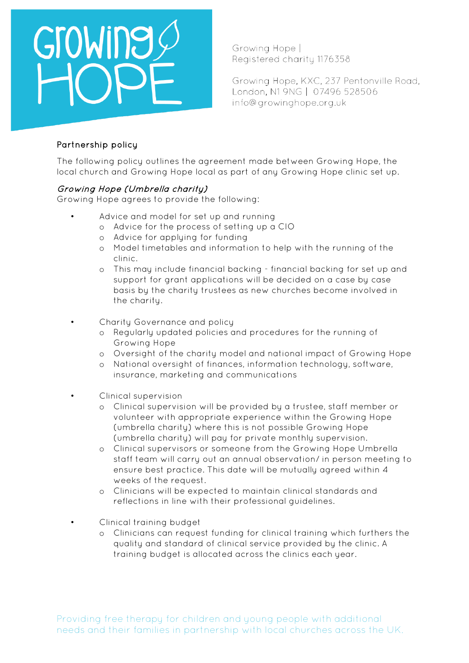

Growing Hope | Registered charity 1176358

Growing Hope, KXC, 237 Pentonville Road, London, N1 9NG | 07496 528506 info@growinghope.org.uk

### Partnership policy

The following policy outlines the agreement made between Growing Hope, the local church and Growing Hope local as part of any Growing Hope clinic set up.

### Growing Hope (Umbrella charity)

Growing Hope agrees to provide the following:

- Advice and model for set up and running
	- o Advice for the process of setting up a CIO
	- o Advice for applying for funding
	- o Model timetables and information to help with the running of the clinic.
	- o This may include financial backing financial backing for set up and support for grant applications will be decided on a case by case basis by the charity trustees as new churches become involved in the charity.
- Charity Governance and policy
	- o Regularly updated policies and procedures for the running of Growing Hope
	- o Oversight of the charity model and national impact of Growing Hope
	- o National oversight of finances, information technology, software, insurance, marketing and communications
	- Clinical supervision
		- o Clinical supervision will be provided by a trustee, staff member or volunteer with appropriate experience within the Growing Hope (umbrella charity) where this is not possible Growing Hope (umbrella charity) will pay for private monthly supervision.
		- o Clinical supervisors or someone from the Growing Hope Umbrella staff team will carry out an annual observation/ in person meeting to ensure best practice. This date will be mutually agreed within 4 weeks of the request.
		- o Clinicians will be expected to maintain clinical standards and reflections in line with their professional guidelines.
- Clinical training budget
	- o Clinicians can request funding for clinical training which furthers the quality and standard of clinical service provided by the clinic. A training budget is allocated across the clinics each year.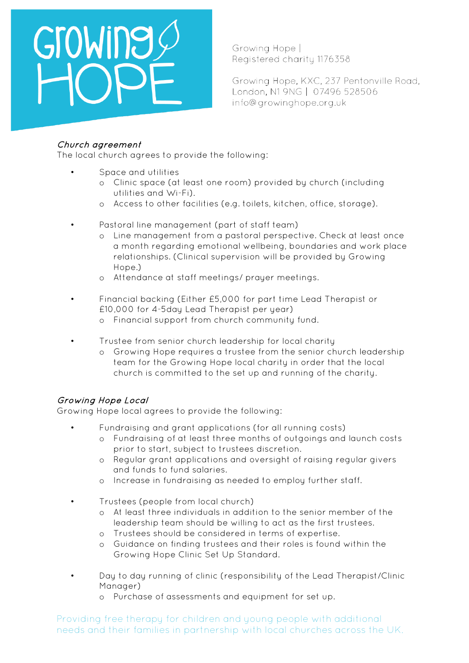# GroWing

Growing Hope | Registered charity 1176358

Growing Hope, KXC, 237 Pentonville Road, London, N1 9NG | 07496 528506 info@growinghope.org.uk

## Church agreement

The local church agrees to provide the following:

- Space and utilities
	- o Clinic space (at least one room) provided by church (including utilities and Wi-Fi).
	- o Access to other facilities (e.g. toilets, kitchen, office, storage).
- Pastoral line management (part of staff team)
	- o Line management from a pastoral perspective. Check at least once a month regarding emotional wellbeing, boundaries and work place relationships. (Clinical supervision will be provided by Growing Hope.)
	- o Attendance at staff meetings/ prayer meetings.
- Financial backing (Either £5,000 for part time Lead Therapist or £10,000 for 4-5day Lead Therapist per year)
	- o Financial support from church community fund.
- Trustee from senior church leadership for local charity
	- o Growing Hope requires a trustee from the senior church leadership team for the Growing Hope local charity in order that the local church is committed to the set up and running of the charity.

# Growing Hope Local

Growing Hope local agrees to provide the following:

- Fundraising and grant applications (for all running costs)
	- o Fundraising of at least three months of outgoings and launch costs prior to start, subject to trustees discretion.
	- o Regular grant applications and oversight of raising regular givers and funds to fund salaries.
	- o Increase in fundraising as needed to employ further staff.
- Trustees (people from local church)
	- o At least three individuals in addition to the senior member of the leadership team should be willing to act as the first trustees.
	- o Trustees should be considered in terms of expertise.
	- o Guidance on finding trustees and their roles is found within the Growing Hope Clinic Set Up Standard.
	- Day to day running of clinic (responsibility of the Lead Therapist/Clinic Manager)
		- o Purchase of assessments and equipment for set up.